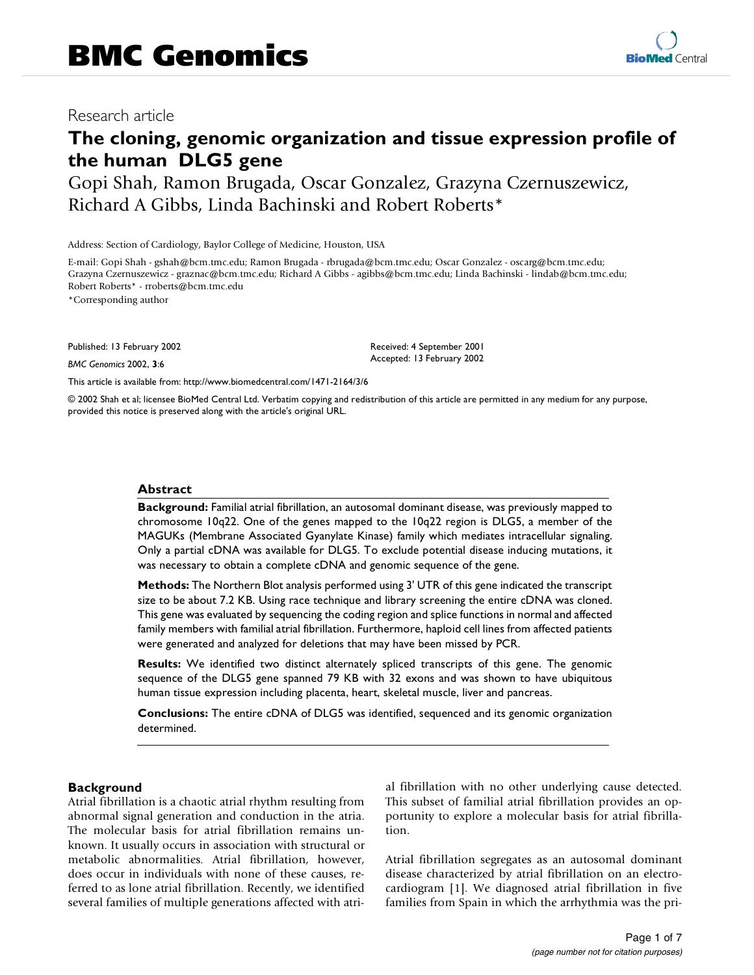# Research article

# **The cloning, genomic organization and tissue expression profile of the human DLG5 gene**

Gopi Shah, Ramon Brugada, Oscar Gonzalez, Grazyna Czernuszewicz, Richard A Gibbs, Linda Bachinski and Robert Roberts\*

Address: Section of Cardiology, Baylor College of Medicine, Houston, USA

E-mail: Gopi Shah - gshah@bcm.tmc.edu; Ramon Brugada - rbrugada@bcm.tmc.edu; Oscar Gonzalez - oscarg@bcm.tmc.edu; Grazyna Czernuszewicz - graznac@bcm.tmc.edu; Richard A Gibbs - agibbs@bcm.tmc.edu; Linda Bachinski - lindab@bcm.tmc.edu; Robert Roberts\* - rroberts@bcm.tmc.edu

\*Corresponding author

Published: 13 February 2002

*BMC Genomics* 2002, **3**:6

[This article is available from: http://www.biomedcentral.com/1471-2164/3/6](http://www.biomedcentral.com/1471-2164/3/6)

© 2002 Shah et al; licensee BioMed Central Ltd. Verbatim copying and redistribution of this article are permitted in any medium for any purpose, provided this notice is preserved along with the article's original URL.

### **Abstract**

**Background:** Familial atrial fibrillation, an autosomal dominant disease, was previously mapped to chromosome 10q22. One of the genes mapped to the 10q22 region is DLG5, a member of the MAGUKs (Membrane Associated Gyanylate Kinase) family which mediates intracellular signaling. Only a partial cDNA was available for DLG5. To exclude potential disease inducing mutations, it was necessary to obtain a complete cDNA and genomic sequence of the gene.

**Methods:** The Northern Blot analysis performed using 3' UTR of this gene indicated the transcript size to be about 7.2 KB. Using race technique and library screening the entire cDNA was cloned. This gene was evaluated by sequencing the coding region and splice functions in normal and affected family members with familial atrial fibrillation. Furthermore, haploid cell lines from affected patients were generated and analyzed for deletions that may have been missed by PCR.

**Results:** We identified two distinct alternately spliced transcripts of this gene. The genomic sequence of the DLG5 gene spanned 79 KB with 32 exons and was shown to have ubiquitous human tissue expression including placenta, heart, skeletal muscle, liver and pancreas.

**Conclusions:** The entire cDNA of DLG5 was identified, sequenced and its genomic organization determined.

## **Background**

Atrial fibrillation is a chaotic atrial rhythm resulting from abnormal signal generation and conduction in the atria. The molecular basis for atrial fibrillation remains unknown. It usually occurs in association with structural or metabolic abnormalities. Atrial fibrillation, however, does occur in individuals with none of these causes, referred to as lone atrial fibrillation. Recently, we identified several families of multiple generations affected with atri-

al fibrillation with no other underlying cause detected. This subset of familial atrial fibrillation provides an opportunity to explore a molecular basis for atrial fibrillation.

Atrial fibrillation segregates as an autosomal dominant disease characterized by atrial fibrillation on an electrocardiogram [[1](#page-6-0)]. We diagnosed atrial fibrillation in five families from Spain in which the arrhythmia was the pri-

Received: 4 September 2001 Accepted: 13 February 2002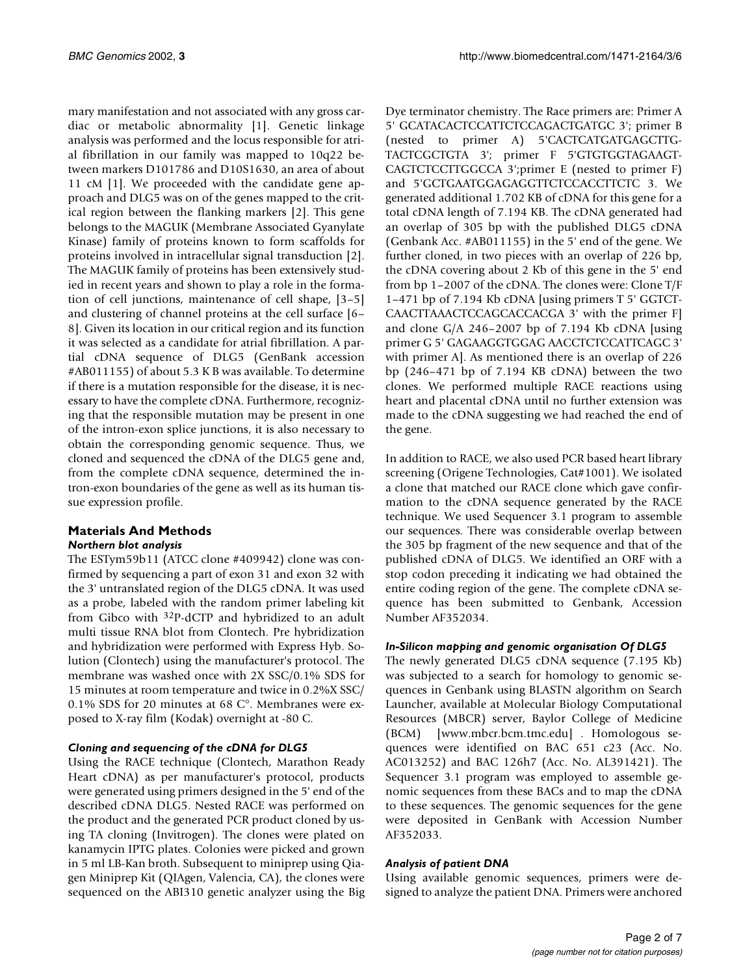mary manifestation and not associated with any gross cardiac or metabolic abnormality [[1](#page-6-0)]. Genetic linkage analysis was performed and the locus responsible for atrial fibrillation in our family was mapped to 10q22 between markers D101786 and D10S1630, an area of about 11 cM [[1](#page-6-0)]. We proceeded with the candidate gene approach and DLG5 was on of the genes mapped to the critical region between the flanking markers [\[2](#page-6-1)]. This gene belongs to the MAGUK (Membrane Associated Gyanylate Kinase) family of proteins known to form scaffolds for proteins involved in intracellular signal transduction [[2](#page-6-1)]. The MAGUK family of proteins has been extensively studied in recent years and shown to play a role in the formation of cell junctions, maintenance of cell shape, [\[3](#page-6-2)[–5\]](#page-6-3) and clustering of channel proteins at the cell surface [\[6](#page-6-4)[–](#page-6-5) [8](#page-6-5)]. Given its location in our critical region and its function it was selected as a candidate for atrial fibrillation. A partial cDNA sequence of DLG5 (GenBank accession #AB011155) of about 5.3 K B was available. To determine if there is a mutation responsible for the disease, it is necessary to have the complete cDNA. Furthermore, recognizing that the responsible mutation may be present in one of the intron-exon splice junctions, it is also necessary to obtain the corresponding genomic sequence. Thus, we cloned and sequenced the cDNA of the DLG5 gene and, from the complete cDNA sequence, determined the intron-exon boundaries of the gene as well as its human tissue expression profile.

# **Materials And Methods**

# *Northern blot analysis*

The ESTym59b11 (ATCC clone #409942) clone was confirmed by sequencing a part of exon 31 and exon 32 with the 3' untranslated region of the DLG5 cDNA. It was used as a probe, labeled with the random primer labeling kit from Gibco with 32P-dCTP and hybridized to an adult multi tissue RNA blot from Clontech. Pre hybridization and hybridization were performed with Express Hyb. Solution (Clontech) using the manufacturer's protocol. The membrane was washed once with 2X SSC/0.1% SDS for 15 minutes at room temperature and twice in 0.2%X SSC/ 0.1% SDS for 20 minutes at 68 C°. Membranes were exposed to X-ray film (Kodak) overnight at -80 C.

# *Cloning and sequencing of the cDNA for DLG5*

Using the RACE technique (Clontech, Marathon Ready Heart cDNA) as per manufacturer's protocol, products were generated using primers designed in the 5' end of the described cDNA DLG5. Nested RACE was performed on the product and the generated PCR product cloned by using TA cloning (Invitrogen). The clones were plated on kanamycin IPTG plates. Colonies were picked and grown in 5 ml LB-Kan broth. Subsequent to miniprep using Qiagen Miniprep Kit (QIAgen, Valencia, CA), the clones were sequenced on the ABI310 genetic analyzer using the Big

Dye terminator chemistry. The Race primers are: Primer A 5' GCATACACTCCATTCTCCAGACTGATGC 3'; primer B (nested to primer A) 5'CACTCATGATGAGCTTG-TACTCGCTGTA 3'; primer F 5'GTGTGGTAGAAGT-CAGTCTCCTTGGCCA 3';primer E (nested to primer F) and 5'GCTGAATGGAGAGGTTCTCCACCTTCTC 3. We generated additional 1.702 KB of cDNA for this gene for a total cDNA length of 7.194 KB. The cDNA generated had an overlap of 305 bp with the published DLG5 cDNA (Genbank Acc. #AB011155) in the 5' end of the gene. We further cloned, in two pieces with an overlap of 226 bp, the cDNA covering about 2 Kb of this gene in the 5' end from bp 1–2007 of the cDNA. The clones were: Clone T/F 1–471 bp of 7.194 Kb cDNA [using primers T 5' GGTCT-CAACTTAAACTCCAGCACCACGA 3' with the primer F] and clone G/A 246–2007 bp of 7.194 Kb cDNA [using primer G 5' GAGAAGGTGGAG AACCTCTCCATTCAGC 3' with primer A]. As mentioned there is an overlap of 226 bp (246–471 bp of 7.194 KB cDNA) between the two clones. We performed multiple RACE reactions using heart and placental cDNA until no further extension was made to the cDNA suggesting we had reached the end of the gene.

In addition to RACE, we also used PCR based heart library screening (Origene Technologies, Cat#1001). We isolated a clone that matched our RACE clone which gave confirmation to the cDNA sequence generated by the RACE technique. We used Sequencer 3.1 program to assemble our sequences. There was considerable overlap between the 305 bp fragment of the new sequence and that of the published cDNA of DLG5. We identified an ORF with a stop codon preceding it indicating we had obtained the entire coding region of the gene. The complete cDNA sequence has been submitted to Genbank, Accession Number AF352034.

# *In-Silicon mapping and genomic organisation Of DLG5*

[The newly generated DLG5 cDNA sequence \(7.195 Kb\)](www.mbcr.bcm.tmc.edu) was subjected to a search for homology to genomic sequences in Genbank using BLASTN algorithm on Search Launcher, available at Molecular Biology Computational Resources (MBCR) server, Baylor College of Medicine (BCM) [www.mbcr.bcm.tmc.edu] . Homologous sequences were identified on BAC 651 c23 (Acc. No. AC013252) and BAC 126h7 (Acc. No. AL391421). The Sequencer 3.1 program was employed to assemble genomic sequences from these BACs and to map the cDNA to these sequences. The genomic sequences for the gene were deposited in GenBank with Accession Number AF352033.

## *Analysis of patient DNA*

Using available genomic sequences, primers were designed to analyze the patient DNA. Primers were anchored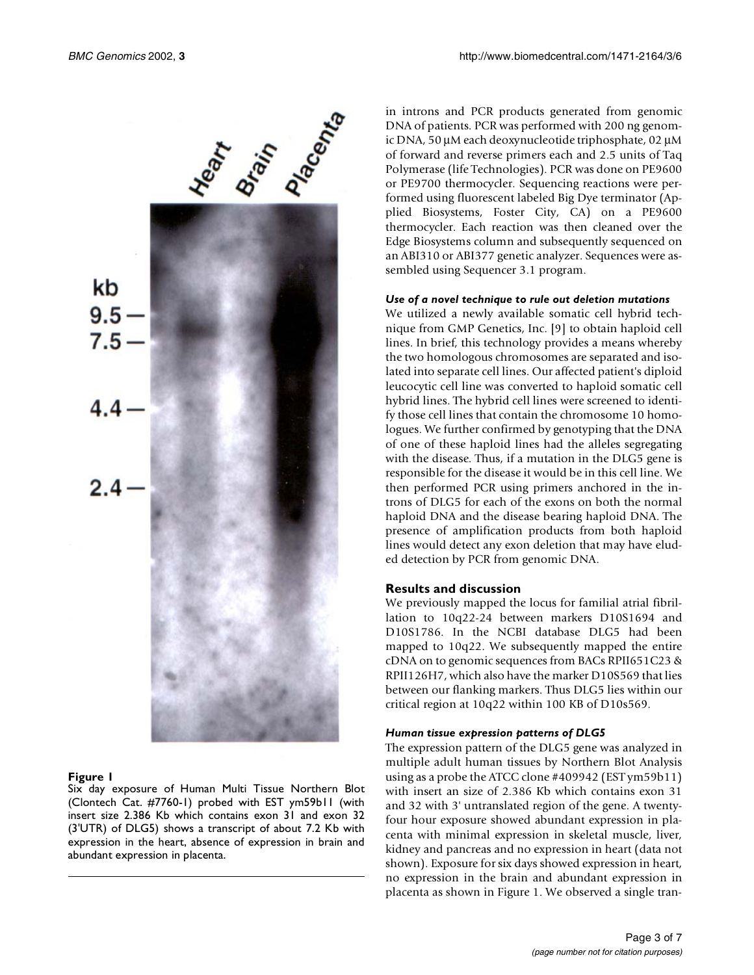

#### <span id="page-2-0"></span>**Figure 1**

Six day exposure of Human Multi Tissue Northern Blot (Clontech Cat. #7760-1) probed with EST ym59b11 (with insert size 2.386 Kb which contains exon 31 and exon 32 (3'UTR) of DLG5) shows a transcript of about 7.2 Kb with expression in the heart, absence of expression in brain and abundant expression in placenta.

in introns and PCR products generated from genomic DNA of patients. PCR was performed with 200 ng genomic DNA, 50 µM each deoxynucleotide triphosphate, 02 µM of forward and reverse primers each and 2.5 units of Taq Polymerase (life Technologies). PCR was done on PE9600 or PE9700 thermocycler. Sequencing reactions were performed using fluorescent labeled Big Dye terminator (Applied Biosystems, Foster City, CA) on a PE9600 thermocycler. Each reaction was then cleaned over the Edge Biosystems column and subsequently sequenced on an ABI310 or ABI377 genetic analyzer. Sequences were assembled using Sequencer 3.1 program.

#### *Use of a novel technique to rule out deletion mutations*

We utilized a newly available somatic cell hybrid technique from GMP Genetics, Inc. [[9](#page-6-6)] to obtain haploid cell lines. In brief, this technology provides a means whereby the two homologous chromosomes are separated and isolated into separate cell lines. Our affected patient's diploid leucocytic cell line was converted to haploid somatic cell hybrid lines. The hybrid cell lines were screened to identify those cell lines that contain the chromosome 10 homologues. We further confirmed by genotyping that the DNA of one of these haploid lines had the alleles segregating with the disease. Thus, if a mutation in the DLG5 gene is responsible for the disease it would be in this cell line. We then performed PCR using primers anchored in the introns of DLG5 for each of the exons on both the normal haploid DNA and the disease bearing haploid DNA. The presence of amplification products from both haploid lines would detect any exon deletion that may have eluded detection by PCR from genomic DNA.

#### **Results and discussion**

We previously mapped the locus for familial atrial fibrillation to 10q22-24 between markers D10S1694 and D10S1786. In the NCBI database DLG5 had been mapped to 10q22. We subsequently mapped the entire cDNA on to genomic sequences from BACs RPII651C23 & RPII126H7, which also have the marker D10S569 that lies between our flanking markers. Thus DLG5 lies within our critical region at 10q22 within 100 KB of D10s569.

#### *Human tissue expression patterns of DLG5*

The expression pattern of the DLG5 gene was analyzed in multiple adult human tissues by Northern Blot Analysis using as a probe the ATCC clone #409942 (EST ym59b11) with insert an size of 2.386 Kb which contains exon 31 and 32 with 3' untranslated region of the gene. A twentyfour hour exposure showed abundant expression in placenta with minimal expression in skeletal muscle, liver, kidney and pancreas and no expression in heart (data not shown). Exposure for six days showed expression in heart, no expression in the brain and abundant expression in placenta as shown in Figure [1](#page-2-0). We observed a single tran-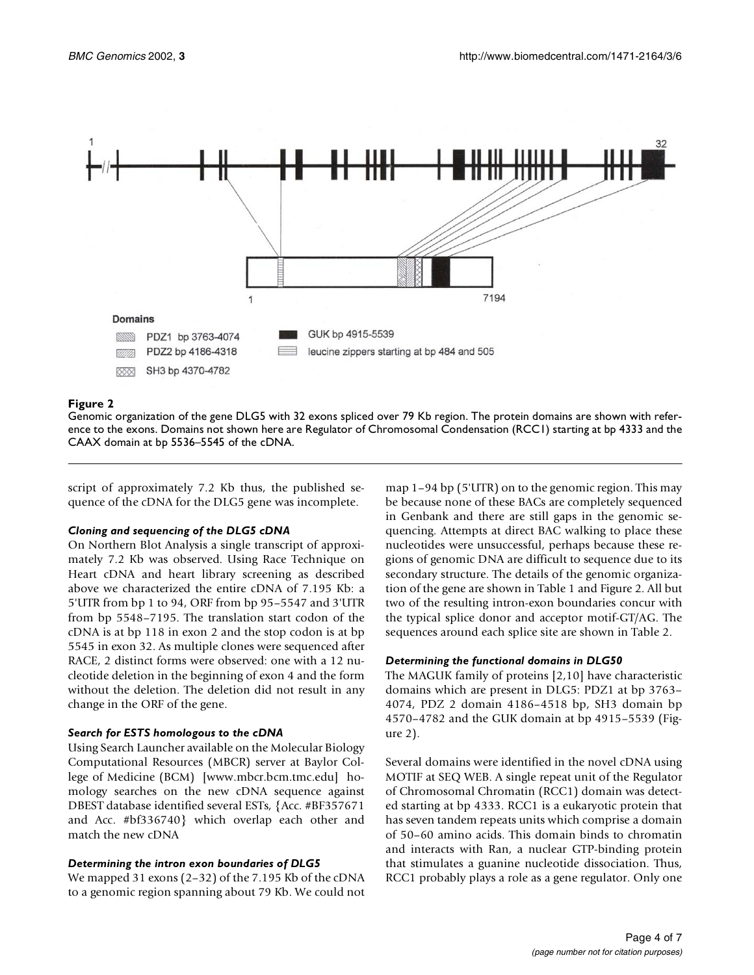

#### <span id="page-3-1"></span>**Figure 2**

Genomic organization of the gene DLG5 with 32 exons spliced over 79 Kb region. The protein domains are shown with reference to the exons. Domains not shown here are Regulator of Chromosomal Condensation (RCC1) starting at bp 4333 and the CAAX domain at bp 5536–5545 of the cDNA.

script of approximately 7.2 Kb thus, the published sequence of the cDNA for the DLG5 gene was incomplete.

#### *Cloning and sequencing of the DLG5 cDNA*

On Northern Blot Analysis a single transcript of approximately 7.2 Kb was observed. Using Race Technique on Heart cDNA and heart library screening as described above we characterized the entire cDNA of 7.195 Kb: a 5'UTR from bp 1 to 94, ORF from bp 95–5547 and 3'UTR from bp 5548–7195. The translation start codon of the cDNA is at bp 118 in exon 2 and the stop codon is at bp 5545 in exon 32. As multiple clones were sequenced after RACE, 2 distinct forms were observed: one with a 12 nucleotide deletion in the beginning of exon 4 and the form without the deletion. The deletion did not result in any change in the ORF of the gene.

#### *Search for ESTS homologous to the cDNA*

[Using Search Launcher available on the Molecular Biology](www.mbcr.bcm.tmc.edu) Computational Resources (MBCR) server at Baylor College of Medicine (BCM) [www.mbcr.bcm.tmc.edu] homology searches on the new cDNA sequence against DBEST database identified several ESTs, {Acc. #BF357671 and Acc. #bf336740} which overlap each other and match the new cDNA

#### *Determining the intron exon boundaries of DLG5*

<span id="page-3-0"></span>We mapped 31 exons (2–32) of the 7.195 Kb of the cDNA to a genomic region spanning about 79 Kb. We could not map 1–94 bp (5'UTR) on to the genomic region. This may be because none of these BACs are completely sequenced in Genbank and there are still gaps in the genomic sequencing. Attempts at direct BAC walking to place these nucleotides were unsuccessful, perhaps because these regions of genomic DNA are difficult to sequence due to its secondary structure. The details of the genomic organization of the gene are shown in Table [1](#page-3-0) and Figure [2](#page-3-1). All but two of the resulting intron-exon boundaries concur with the typical splice donor and acceptor motif-GT/AG. The sequences around each splice site are shown in Table [2](#page-4-0).

#### *Determining the functional domains in DLG50*

The MAGUK family of proteins [[2](#page-6-1),[10\]](#page-6-7) have characteristic domains which are present in DLG5: PDZ1 at bp 3763– 4074, PDZ 2 domain 4186–4518 bp, SH3 domain bp 4570–4782 and the GUK domain at bp 4915–5539 (Figure [2\)](#page-3-1).

Several domains were identified in the novel cDNA using MOTIF at SEQ WEB. A single repeat unit of the Regulator of Chromosomal Chromatin (RCC1) domain was detected starting at bp 4333. RCC1 is a eukaryotic protein that has seven tandem repeats units which comprise a domain of 50–60 amino acids. This domain binds to chromatin and interacts with Ran, a nuclear GTP-binding protein that stimulates a guanine nucleotide dissociation. Thus, RCC1 probably plays a role as a gene regulator. Only one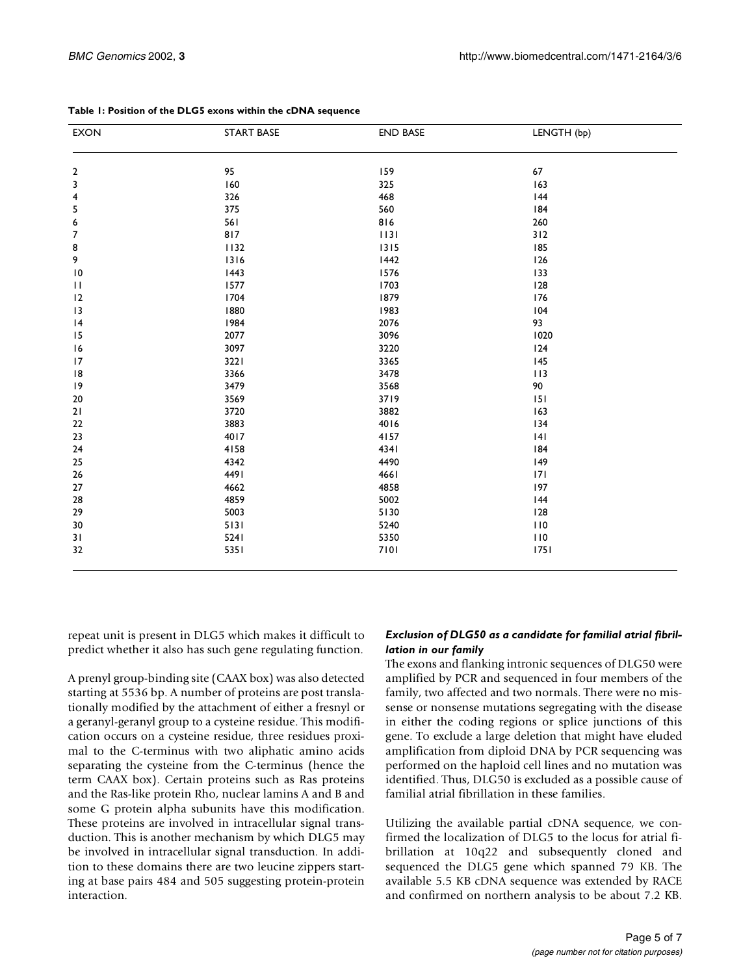| <b>EXON</b>             | <b>START BASE</b><br><b>END BASE</b> |      | LENGTH (bp) |  |
|-------------------------|--------------------------------------|------|-------------|--|
| $\overline{\mathbf{c}}$ | 95                                   | 159  | 67          |  |
| 3                       | 160                                  | 325  | 163         |  |
| $\overline{\mathbf{4}}$ | 326                                  | 468  | 44          |  |
| $\sqrt{5}$              | 375                                  | 560  | 184         |  |
| $\boldsymbol{6}$        | 561                                  | 816  | 260         |  |
| $\boldsymbol{7}$        | 817                                  | 1131 | 312         |  |
| 8                       | 1132                                 | 1315 | 185         |  |
| 9                       | 1316                                 | 1442 | 126         |  |
| $\overline{10}$         | 1443                                 | 1576 | 133         |  |
| $\mathbf{H}$            | 1577                                 | 1703 | 128         |  |
|                         | 1704                                 | 1879 | 176         |  |
| 12                      |                                      |      |             |  |
| 13                      | 1880                                 | 1983 | 104         |  |
| 4                       | 1984                                 | 2076 | 93          |  |
| 15                      | 2077                                 | 3096 | 1020        |  |
| 16                      | 3097                                 | 3220 | 124         |  |
| 17                      | 3221                                 | 3365 | 145         |  |
| 8                       | 3366                                 | 3478 | 113         |  |
| 9                       | 3479                                 | 3568 | 90          |  |
| 20                      | 3569                                 | 3719 | 151         |  |
| $21$                    | 3720                                 | 3882 | 163         |  |
| 22                      | 3883                                 | 4016 | 134         |  |
| 23                      | 4017                                 | 4157 | 4           |  |
| 24                      | 4158                                 | 4341 | 184         |  |
| 25                      | 4342                                 | 4490 | 149         |  |
| $26\,$                  | 4491                                 | 4661 | 7           |  |
| 27                      | 4662                                 | 4858 | 197         |  |
| 28                      | 4859                                 | 5002 | 44          |  |
| 29                      | 5003                                 | 5130 | 128         |  |
| 30                      | 5131                                 | 5240 | 110         |  |
| 31                      | 5241                                 | 5350 | 110         |  |
| 32                      | 5351                                 | 7101 | 1751        |  |

#### **Table 1: Position of the DLG5 exons within the cDNA sequence**

repeat unit is present in DLG5 which makes it difficult to predict whether it also has such gene regulating function.

<span id="page-4-0"></span>A prenyl group-binding site (CAAX box) was also detected starting at 5536 bp. A number of proteins are post translationally modified by the attachment of either a fresnyl or a geranyl-geranyl group to a cysteine residue. This modification occurs on a cysteine residue, three residues proximal to the C-terminus with two aliphatic amino acids separating the cysteine from the C-terminus (hence the term CAAX box). Certain proteins such as Ras proteins and the Ras-like protein Rho, nuclear lamins A and B and some G protein alpha subunits have this modification. These proteins are involved in intracellular signal transduction. This is another mechanism by which DLG5 may be involved in intracellular signal transduction. In addition to these domains there are two leucine zippers starting at base pairs 484 and 505 suggesting protein-protein interaction.

## *Exclusion of DLG50 as a candidate for familial atrial fibrillation in our family*

The exons and flanking intronic sequences of DLG50 were amplified by PCR and sequenced in four members of the family, two affected and two normals. There were no missense or nonsense mutations segregating with the disease in either the coding regions or splice junctions of this gene. To exclude a large deletion that might have eluded amplification from diploid DNA by PCR sequencing was performed on the haploid cell lines and no mutation was identified. Thus, DLG50 is excluded as a possible cause of familial atrial fibrillation in these families.

Utilizing the available partial cDNA sequence, we confirmed the localization of DLG5 to the locus for atrial fibrillation at 10q22 and subsequently cloned and sequenced the DLG5 gene which spanned 79 KB. The available 5.5 KB cDNA sequence was extended by RACE and confirmed on northern analysis to be about 7.2 KB.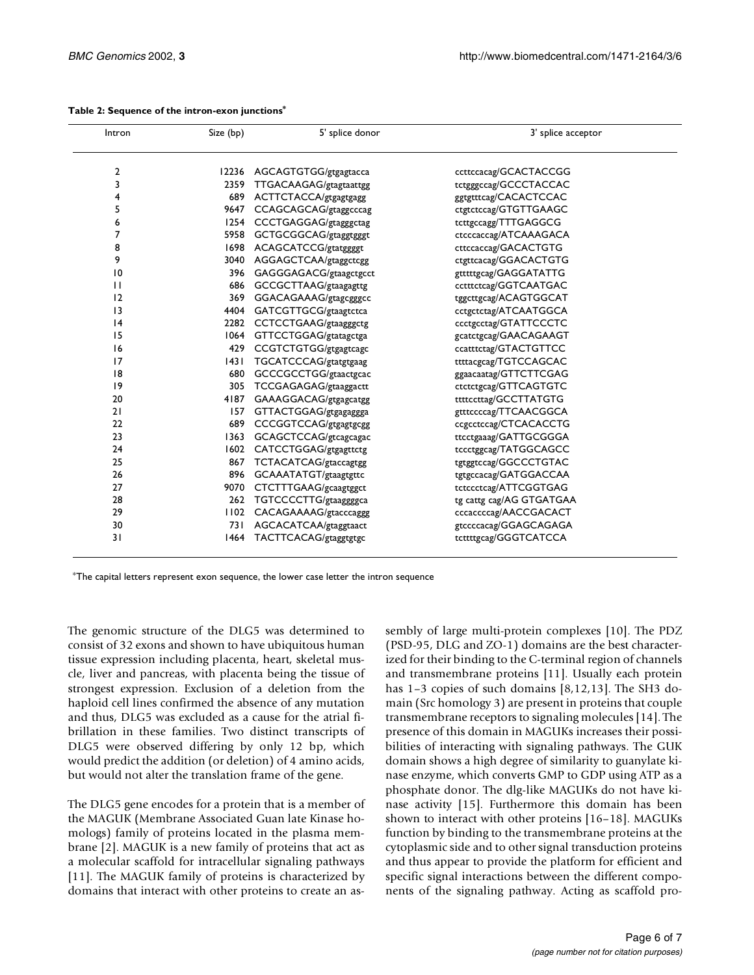| Intron         | Size (bp) | 5' splice donor             | 3' splice acceptor       |
|----------------|-----------|-----------------------------|--------------------------|
| $\overline{2}$ |           | 12236 AGCAGTGTGG/gtgagtacca | ccttccacag/GCACTACCGG    |
| 3              |           | 2359 TTGACAAGAG/gtagtaattgg | tctgggccag/GCCCTACCAC    |
| 4              | 689       | ACTTCTACCA/gtgagtgagg       | ggtgtttcag/CACACTCCAC    |
| 5              | 9647      | CCAGCAGCAG/gtaggcccag       | ctgtctccag/GTGTTGAAGC    |
| 6              | 1254      | CCCTGAGGAG/gtagggctag       | tcttgccagg/TTTGAGGCG     |
| 7              | 5958      | GCTGCGGCAG/gtaggtgggt       | ctcccaccag/ATCAAAGACA    |
| 8              |           | 1698 ACAGCATCCG/gtatggggt   | cttccaccag/GACACTGTG     |
| 9              |           | 3040 AGGAGCTCAA/gtaggctcgg  | ctgttcacag/GGACACTGTG    |
| 10             | 396       | GAGGGAGACG/gtaagctgcct      | gtttttgcag/GAGGATATTG    |
| $\mathbf{H}$   | 686       | GCCGCTTAAG/gtaagagttg       | cctttctcag/GGTCAATGAC    |
| 12             | 369       | GGACAGAAAG/gtagcgggcc       | tggcttgcag/ACAGTGGCAT    |
| 3              |           | 4404 GATCGTTGCG/gtaagtctca  | cctgctctag/ATCAATGGCA    |
| 4              |           | 2282 CCTCCTGAAG/gtaagggctg  | ccctgcctag/GTATTCCCTC    |
| 15             |           | 1064 GTTCCTGGAG/gtatagctga  | gcatctgcag/GAACAGAAGT    |
| 16             | 429       | CCGTCTGTGG/gtgagtcagc       | ccatttctag/GTACTGTTCC    |
| 17             | 43        | TGCATCCCAG/gtatgtgaag       | ttttacgcag/TGTCCAGCAC    |
| 18             | 680       | GCCCGCCTGG/gtaactgcac       | ggaacaatag/GTTCTTCGAG    |
| 9              | 305       | TCCGAGAGAG/gtaaggactt       | ctctctgcag/GTTCAGTGTC    |
| 20             |           | 4187 GAAAGGACAG/gtgagcatgg  | ttttccttag/GCCTTATGTG    |
| 21             | 157       | GTTACTGGAG/gtgagaggga       | gtttccccag/TTCAACGGCA    |
| 22             | 689       | CCCGGTCCAG/gtgagtgcgg       | ccgcctccag/CTCACACCTG    |
| 23             | 1363      | GCAGCTCCAG/gtcagcagac       | ttcctgaaag/GATTGCGGGA    |
| 24             |           | 1602 CATCCTGGAG/gtgagttctg  | tccctggcag/TATGGCAGCC    |
| 25             |           | 867 TCTACATCAG/gtaccagtgg   | tgtggtccag/GGCCCTGTAC    |
| 26             |           | 896 GCAAATATGT/gtaagtgttc   | tgtgccacag/GATGGACCAA    |
| 27             | 9070      | CTCTTTGAAG/gcaagtggct       | tctccctcag/ATTCGGTGAG    |
| 28             |           | 262 TGTCCCCTTG/gtaaggggca   | tg cattg cag/AG GTGATGAA |
| 29             | 1102      | CACAGAAAAG/gtacccaggg       | cccaccccag/AACCGACACT    |
| 30             | 73 I      | AGCACATCAA/gtaggtaact       | gtccccacag/GGAGCAGAGA    |
| 31             |           | 1464 TACTTCACAG/gtaggtgtgc  | tcttttgcag/GGGTCATCCA    |
|                |           |                             |                          |

#### **Table 2: Sequence of the intron-exon junctions\***

\*The capital letters represent exon sequence, the lower case letter the intron sequence

The genomic structure of the DLG5 was determined to consist of 32 exons and shown to have ubiquitous human tissue expression including placenta, heart, skeletal muscle, liver and pancreas, with placenta being the tissue of strongest expression. Exclusion of a deletion from the haploid cell lines confirmed the absence of any mutation and thus, DLG5 was excluded as a cause for the atrial fibrillation in these families. Two distinct transcripts of DLG5 were observed differing by only 12 bp, which would predict the addition (or deletion) of 4 amino acids, but would not alter the translation frame of the gene.

The DLG5 gene encodes for a protein that is a member of the MAGUK (Membrane Associated Guan late Kinase homologs) family of proteins located in the plasma membrane [\[2\]](#page-6-1). MAGUK is a new family of proteins that act as a molecular scaffold for intracellular signaling pathways [[11](#page-6-8)]. The MAGUK family of proteins is characterized by domains that interact with other proteins to create an assembly of large multi-protein complexes [\[10](#page-6-7)]. The PDZ (PSD-95, DLG and ZO-1) domains are the best characterized for their binding to the C-terminal region of channels and transmembrane proteins [\[11](#page-6-8)]. Usually each protein has 1-3 copies of such domains [\[8,](#page-6-5)[12](#page-6-9),[13](#page-6-10)]. The SH3 domain (Src homology 3) are present in proteins that couple transmembrane receptors to signaling molecules [[14\]](#page-6-11). The presence of this domain in MAGUKs increases their possibilities of interacting with signaling pathways. The GUK domain shows a high degree of similarity to guanylate kinase enzyme, which converts GMP to GDP using ATP as a phosphate donor. The dlg-like MAGUKs do not have kinase activity [[15](#page-6-12)]. Furthermore this domain has been shown to interact with other proteins [[16–](#page-6-13)[18\]](#page-6-14). MAGUKs function by binding to the transmembrane proteins at the cytoplasmic side and to other signal transduction proteins and thus appear to provide the platform for efficient and specific signal interactions between the different components of the signaling pathway. Acting as scaffold pro